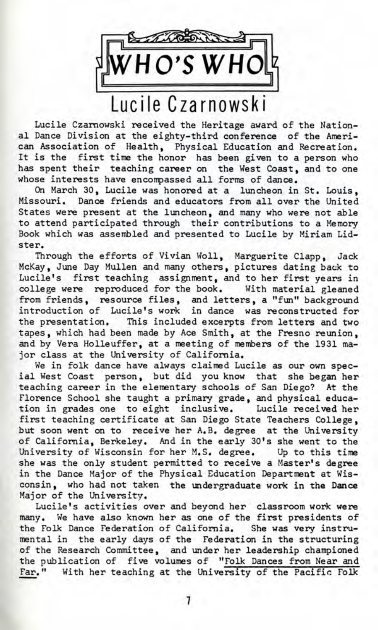and Contact Contact Contact Contact Contact Contact Contact Contact Contact Contact Contact Contact Contact Contact Contact Contact Contact Contact Contact Contact Contact Contact Contact Contact Contact Contact Contact Co **HO'SWHOti** ] Lucile Czarnowsk i

Lucile Czarnowski received the Heritage award of the National Dance Division at the eighty-third conference of the American Association of Health, Physical Education and Recreation. It is the first time the honor has been given to a person who has spent their teaching career on the West Coast, and to one whose interests have encompassed all forms of dance.

On March 30, Lucile was honored at a luncheon in St. Louis, Missouri. Dance friends and educators from all over the United States were present at the luncheon, and many who were not able to attend participated through their contributions to a Memory Book which was assembled and presented to Lucile by Miriam Lidster.

Through the efforts of Vivian Woll, Marguerite Clapp, Jack McKay, June Day Mullen and many others, pictures dating back to Lucile's first teaching assignment, and to her first years in college were reproduced for the book. With material gleaned from friends, resource files, and letters, a "fun" background introduction of Lucile's work in dance was reconstructed for the presentation. This included excerpts from letters and two tapes, which had been made by Ace Smith, at the Fresno reunion, and by Vera Holleuffer, at a meeting of members of the 1931 major class at the University of California.

We in folk dance have always claimed Lucile as our own special West Coast person, but did you know that she began her teaching career in the elementary schools of San Diego? At the Florence School she taught a primary grade, and physical education in grades one to eight inclusive. Lucile received her first teaching certificate at San Diego State Teachers College, but soon went on to receive her A.B. degree at the University of California, Berkeley. And in the early 30's she went to the University of Wisconsin for her M.S. degree. Up to this time she was the only student permitted to receive a Master's degree in the Dance Major of the Physical Education Department at Wisconsin, who had not taken the undergraduate work in the Dance Major of the University.

Lucile's activities over and beyond her classroom work were many. We have also known her as one of the first presidents of the Folk Dance Federation of California. She was very instrumental in the early days of the Federation in the structuring of the Research Committee, and under her leadership championed the publication of five volumes of "Folk Dances from Near and Far." With her teaching at the University of the Pacific Folk